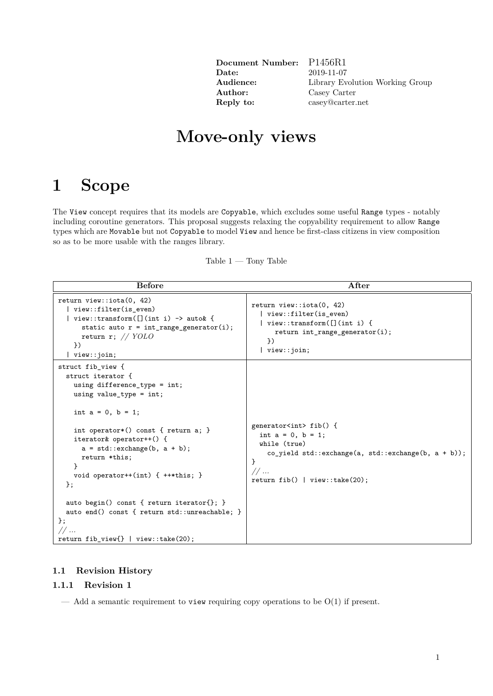| Document Number: |  |
|------------------|--|
| Date:            |  |
| Audience:        |  |
| Author:          |  |
| Reply to:        |  |

**Document Number:** P1456R1 **Date:** 2019-11-07 Library Evolution Working Group **Author:** Casey Carter **Reply to:** casey@carter.net

# **Move-only views**

# **1 Scope**

The View concept requires that its models are Copyable, which excludes some useful Range types - notably including coroutine generators. This proposal suggests relaxing the copyability requirement to allow Range types which are Movable but not Copyable to model View and hence be first-class citizens in view composition so as to be more usable with the ranges library.

| <b>Before</b>                                                                                                                                                                                                                                                                                      | After                                                                                                                                                                                                                                         |
|----------------------------------------------------------------------------------------------------------------------------------------------------------------------------------------------------------------------------------------------------------------------------------------------------|-----------------------------------------------------------------------------------------------------------------------------------------------------------------------------------------------------------------------------------------------|
| return view::iota(0, 42)<br>view::filter(is_even)<br>view::transform( $[]$ (int i) -> auto& {<br>static auto $r = int_range\_generator(i);$<br>return r; $// YOLO$<br>$\}$<br>view::join;                                                                                                          | return view::iota(0, 42)<br>  view::filter(is_even)<br>  view::transform( $[]$ (int i) {<br>return int range generator $(i)$ ;<br>$\}$<br>$\vert$ view:: join;                                                                                |
| struct fib_view {<br>struct iterator {<br>using difference_type = int;<br>using value_type = $int;$<br>int $a = 0$ , $b = 1$ ;<br>int operator*() const { return a; }<br>iterator& operator++() {<br>$a = std::exchange(b, a + b);$<br>return *this;<br>void operator++(int) { $++*$ this; }<br>}; | generator <int> fib() {<br/>int <math>a = 0</math>, <math>b = 1</math>;<br/>while (true)<br/>co_yield std::exchange(a, std::exchange(b, <math>a + b</math>));<br/>ł<br/><math>//</math><br/>return fib() <math> </math> view::take(20);</int> |
| auto begin() const { return iterator{}; }<br>auto end() const { return std::unreachable; }<br>$\}$ ;<br>11<br>return fib_view{ $\}$   view::take(20);                                                                                                                                              |                                                                                                                                                                                                                                               |

Table  $1 -$ Tony Table

### **1.1 Revision History**

### **1.1.1 Revision 1**

— Add a semantic requirement to view requiring copy operations to be  $O(1)$  if present.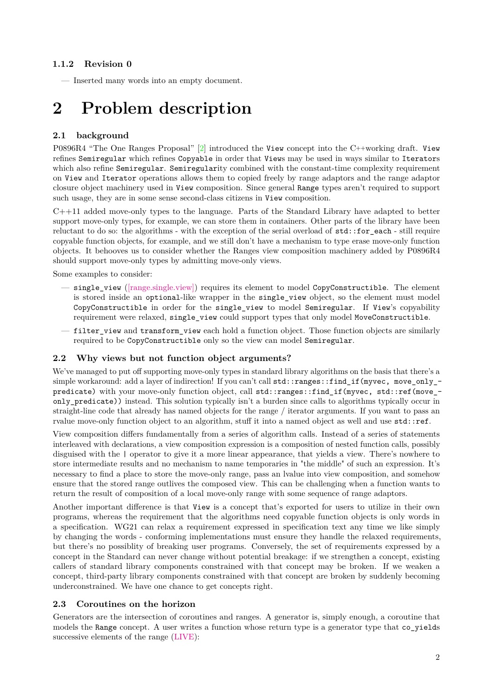#### **1.1.2 Revision 0**

— Inserted many words into an empty document.

# **2 Problem description**

### **2.1 background**

P0896R4 "The One Ranges Proposal" [\[2\]](#page-5-0) introduced the View concept into the C++working draft. View refines Semiregular which refines Copyable in order that Views may be used in ways similar to Iterators which also refine Semiregular. Semiregularity combined with the constant-time complexity requirement on View and Iterator operations allows them to copied freely by range adaptors and the range adaptor closure object machinery used in View composition. Since general Range types aren't required to support such usage, they are in some sense second-class citizens in View composition.

C++11 added move-only types to the language. Parts of the Standard Library have adapted to better support move-only types, for example, we can store them in containers. Other parts of the library have been reluctant to do so: the algorithms - with the exception of the serial overload of  $\texttt{std::for\_each}$  - still require copyable function objects, for example, and we still don't have a mechanism to type erase move-only function objects. It behooves us to consider whether the Ranges view composition machinery added by P0896R4 should support move-only types by admitting move-only views.

Some examples to consider:

- $-$  single view [\(\[range.single.view\]\)](http://eel.is/c++draft/range.single.view) requires its element to model CopyConstructible. The element is stored inside an optional-like wrapper in the single\_view object, so the element must model CopyConstructible in order for the single\_view to model Semiregular. If View's copyability requirement were relaxed, single\_view could support types that only model MoveConstructible.
- filter view and transform view each hold a function object. Those function objects are similarly required to be CopyConstructible only so the view can model Semiregular.

#### **2.2 Why views but not function object arguments?**

We've managed to put off supporting move-only types in standard library algorithms on the basis that there's a simple workaround: add a layer of indirection! If you can't call std::ranges::find\_if(myvec, move\_only\_predicate) with your move-only function object, call std::ranges::find\_if(myvec, std::ref(move\_ only\_predicate)) instead. This solution typically isn't a burden since calls to algorithms typically occur in straight-line code that already has named objects for the range / iterator arguments. If you want to pass an rvalue move-only function object to an algorithm, stuff it into a named object as well and use std::ref.

View composition differs fundamentally from a series of algorithm calls. Instead of a series of statements interleaved with declarations, a view composition expression is a composition of nested function calls, possibly disguised with the | operator to give it a more linear appearance, that yields a view. There's nowhere to store intermediate results and no mechanism to name temporaries in "the middle" of such an expression. It's necessary to find a place to store the move-only range, pass an lvalue into view composition, and somehow ensure that the stored range outlives the composed view. This can be challenging when a function wants to return the result of composition of a local move-only range with some sequence of range adaptors.

Another important difference is that View is a concept that's exported for users to utilize in their own programs, whereas the requirement that the algorithms need copyable function objects is only words in a specification. WG21 can relax a requirement expressed in specification text any time we like simply by changing the words - conforming implementations must ensure they handle the relaxed requirements, but there's no possiblity of breaking user programs. Conversely, the set of requirements expressed by a concept in the Standard can never change without potential breakage: if we strengthen a concept, existing callers of standard library components constrained with that concept may be broken. If we weaken a concept, third-party library components constrained with that concept are broken by suddenly becoming underconstrained. We have one chance to get concepts right.

#### **2.3 Coroutines on the horizon**

Generators are the intersection of coroutines and ranges. A generator is, simply enough, a coroutine that models the Range concept. A user writes a function whose return type is a generator type that co\_yields successive elements of the range [\(LIVE\)](https://wandbox.org/permlink/OjvfCc8L3pYMNdU9):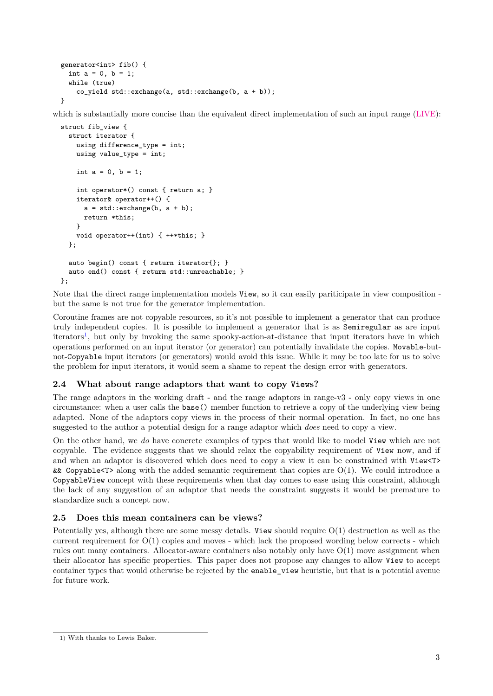```
generator<int> fib() {
  int a = 0, b = 1;
 while (true)
    co_yield std::exchange(a, std::exchange(b, a + b));
}
```
which is substantially more concise than the equivalent direct implementation of such an input range [\(LIVE\)](https://wandbox.org/permlink/tlqfMsvXuoz4hSy4):

```
struct fib_view {
  struct iterator {
    using difference_type = int;
    using value_type = int;
    int a = 0, b = 1:
    int operator*() const { return a; }
    iterator& operator++() {
      a = std::exchange(b, a + b);return *this;
    }
    void operator++(int) { ++*this; }
 };
  auto begin() const { return iterator{}; }
  auto end() const { return std::unreachable; }
};
```
Note that the direct range implementation models View, so it can easily pariticipate in view composition but the same is not true for the generator implementation.

Coroutine frames are not copyable resources, so it's not possible to implement a generator that can produce truly independent copies. It is possible to implement a generator that is as Semiregular as are input iterators<sup>[1](#page-2-0)</sup>, but only by invoking the same spooky-action-at-distance that input iterators have in which operations performed on an input iterator (or generator) can potentially invalidate the copies. Movable-butnot-Copyable input iterators (or generators) would avoid this issue. While it may be too late for us to solve the problem for input iterators, it would seem a shame to repeat the design error with generators.

### **2.4 What about range adaptors that want to copy Views?**

The range adaptors in the working draft - and the range adaptors in range-v3 - only copy views in one circumstance: when a user calls the base() member function to retrieve a copy of the underlying view being adapted. None of the adaptors copy views in the process of their normal operation. In fact, no one has suggested to the author a potential design for a range adaptor which *does* need to copy a view.

On the other hand, we *do* have concrete examples of types that would like to model View which are not copyable. The evidence suggests that we should relax the copyability requirement of View now, and if and when an adaptor is discovered which does need to copy a view it can be constrained with View<T> & Copyable  $\leq$  along with the added semantic requirement that copies are  $O(1)$ . We could introduce a CopyableView concept with these requirements when that day comes to ease using this constraint, although the lack of any suggestion of an adaptor that needs the constraint suggests it would be premature to standardize such a concept now.

### **2.5 Does this mean containers can be views?**

Potentially yes, although there are some messy details. View should require O(1) destruction as well as the current requirement for  $O(1)$  copies and moves - which lack the proposed wording below corrects - which rules out many containers. Allocator-aware containers also notably only have O(1) move assignment when their allocator has specific properties. This paper does not propose any changes to allow View to accept container types that would otherwise be rejected by the enable\_view heuristic, but that is a potential avenue for future work.

<span id="page-2-0"></span><sup>1)</sup> With thanks to Lewis Baker.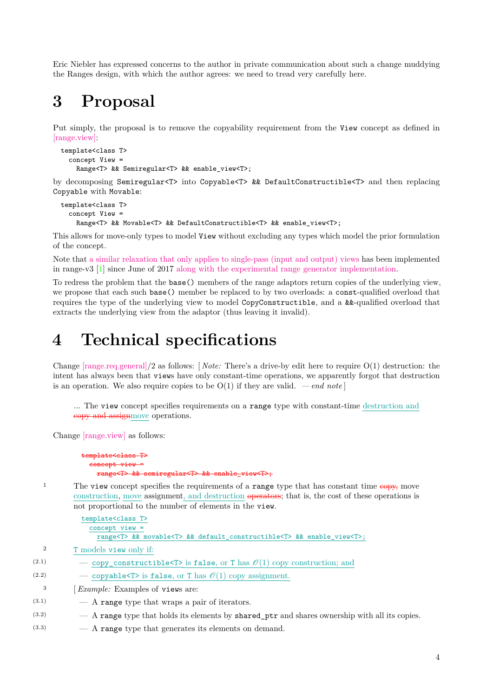Eric Niebler has expressed concerns to the author in private communication about such a change muddying the Ranges design, with which the author agrees: we need to tread very carefully here.

# **3 Proposal**

Put simply, the proposal is to remove the copyability requirement from the View concept as defined in [\[range.view\]:](http://eel.is/c++draft/range.view)

```
template<class T>
  concept View =
    Range<T> && Semiregular<T> && enable view<T>;
```
by decomposing Semiregular<T> into Copyable<T> && DefaultConstructible<T> and then replacing Copyable with Movable:

```
template<class T>
  concept View =
    Range<T> && Movable<T> && DefaultConstructible<T> && enable view<T>;
```
This allows for move-only types to model View without excluding any types which model the prior formulation of the concept.

Note that [a similar relaxation that only applies to single-pass \(input and output\) views](https://github.com/ericniebler/range-v3/commit/11fb1f0c6ef60a61a3eb264b5c3d0d42fc4615a2) has been implemented in range-v3 [\[1\]](#page-5-1) since June of 2017 [along with the experimental range generator implementation.](https://github.com/ericniebler/range-v3/commit/d2bd910faa75d9016f6fb124f9de46c926c49c72)

To redress the problem that the base() members of the range adaptors return copies of the underlying view, we propose that each such base() member be replaced to by two overloads: a const-qualified overload that requires the type of the underlying view to model CopyConstructible, and a &&-qualified overload that extracts the underlying view from the adaptor (thus leaving it invalid).

# **4 Technical specifications**

Change [\[range.req.general\]/](http://eel.is/c++draft/range.req.general)2 as follows: [ *Note:* There's a drive-by edit here to require O(1) destruction: the intent has always been that views have only constant-time operations, we apparently forgot that destruction is an operation. We also require copies to be  $O(1)$  if they are valid. *— end note* 

... The view concept specifies requirements on a range type with constant-time destruction and copy and assignmove operations.

Change [\[range.view\]](http://eel.is/c++draft/range.view) as follows:

```
template<class T>
 concept view
   range<T> && semiregular<T> && enable_view<T>;
```
<sup>1</sup> The view concept specifies the requirements of a range type that has constant time  $\epsilon_{\text{opt}}$ , move construction, move assignment, and destruction operators; that is, the cost of these operations is not proportional to the number of elements in the view.

|                  | template <class t=""></class>                                                                                  |
|------------------|----------------------------------------------------------------------------------------------------------------|
|                  | $concept$ view =                                                                                               |
|                  | range <t> &amp;&amp; movable<t> &amp;&amp; default_constructible<t> &amp;&amp; enable_view<t>;</t></t></t></t> |
| $\boldsymbol{2}$ | T models view only if:                                                                                         |
| (2.1)            | — copy_constructible <t> is false, or T has <math>\mathcal{O}(1)</math> copy construction; and</t>             |
| (2.2)            | — copyable <t> is false, or T has <math>\mathcal{O}(1)</math> copy assignment.</t>                             |
| 3                | <i>Example:</i> Examples of views are:                                                                         |
| (3.1)            | - A range type that wraps a pair of iterators.                                                                 |
| (3.2)            | - A range type that holds its elements by shared ptr and shares ownership with all its copies.                 |
|                  |                                                                                                                |

(3.3) — A range type that generates its elements on demand.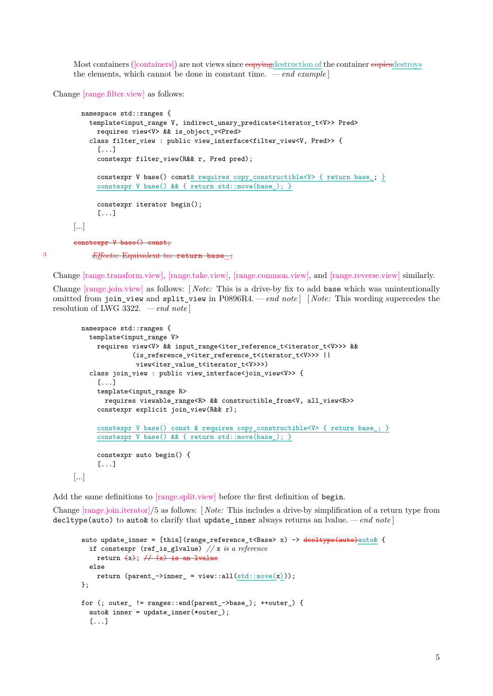Most containers [\(\[containers\]\)](http://eel.is/c++draft/containers) are not views since  $\epsilon$  opyingdestruction of the container copiesdestroys the elements, which cannot be done in constant time.  $\,-\,end\,example$ 

Change [\[range.filter.view\]](http://eel.is/c++draft/range.filter.view) as follows:

```
namespace std::ranges {
           template<input_range V, indirect_unary_predicate<iterator_t<V>> Pred>
             requires view<V> && is_object_v<Pred>
           class filter_view : public view_interface<filter_view<V, Pred>> {
             [.\,.]constexpr filter_view(R&& r, Pred pred);
             constexpr V base() const& requires copy_constructible<V> { return base_; }
             constexpr V base() && { return std::move(base_); }
             constexpr iterator begin();
             [...]
       [...]
       constexpr V base() const;
3 Effects: Equivalent to: return base_;
```
Change [\[range.transform.view\],](http://eel.is/c++draft/range.transform.view) [\[range.take.view\],](http://eel.is/c++draft/range.take.view) [\[range.common.view\],](http://eel.is/c++draft/range.common.view) and [\[range.reverse.view\]](http://eel.is/c++draft/range.reverse.view) similarly.

Change [\[range.join.view\]](http://eel.is/c++draft/range.join.view) as follows: [ *Note:* This is a drive-by fix to add base which was unintentionally omitted from join\_view and split\_view in P0896R4.*— end note* ] [ *Note:* This wording supercedes the resolution of LWG 3322. *— end note* ]

```
namespace std::ranges {
    template<input_range V>
      requires view<V> && input_range<iter_reference_t<iterator_t<V>>> &&
               (is_reference_v<iter_reference_t<iterator_t<V>>> ||
                view<iter_value_t<iterator_t<V>>>)
    class join_view : public view_interface<join_view<V>> {
      [1, 1]template<input_range R>
        requires viewable_range<R> && constructible_from<V, all_view<R>>
      constexpr explicit join_view(R&& r);
      constexpr V base() const & requires copy_constructible<V> { return base_; }
      constexpr V base() && { return std::move(base_); }
      constexpr auto begin() {
      [...]
[...]
```
Add the same definitions to [\[range.split.view\]](http://eel.is/c++draft/range.split.view) before the first definition of begin.

Change [\[range.join.iterator\]/](http://eel.is/c++draft/range.join.iterator)5 as follows: [ *Note:* This includes a drive-by simplification of a return type from decltype(auto) to auto& to clarify that update\_inner always returns an lvalue. *— end note* ]

```
auto update_inner = [this](range_reference_t<Base> x) -> decltype(auto)auto& {
  if constexpr (ref_is_glvalue) // x is a reference
   return (x); \#(x) is an lyalue
  else
   return (parent_->inner_ = view::all(std::move(x)));
};
for (; outer != ranges::end(parent ->base); ++outer ) {
  auto inner = update_inner(*outer_);
  [...]
```